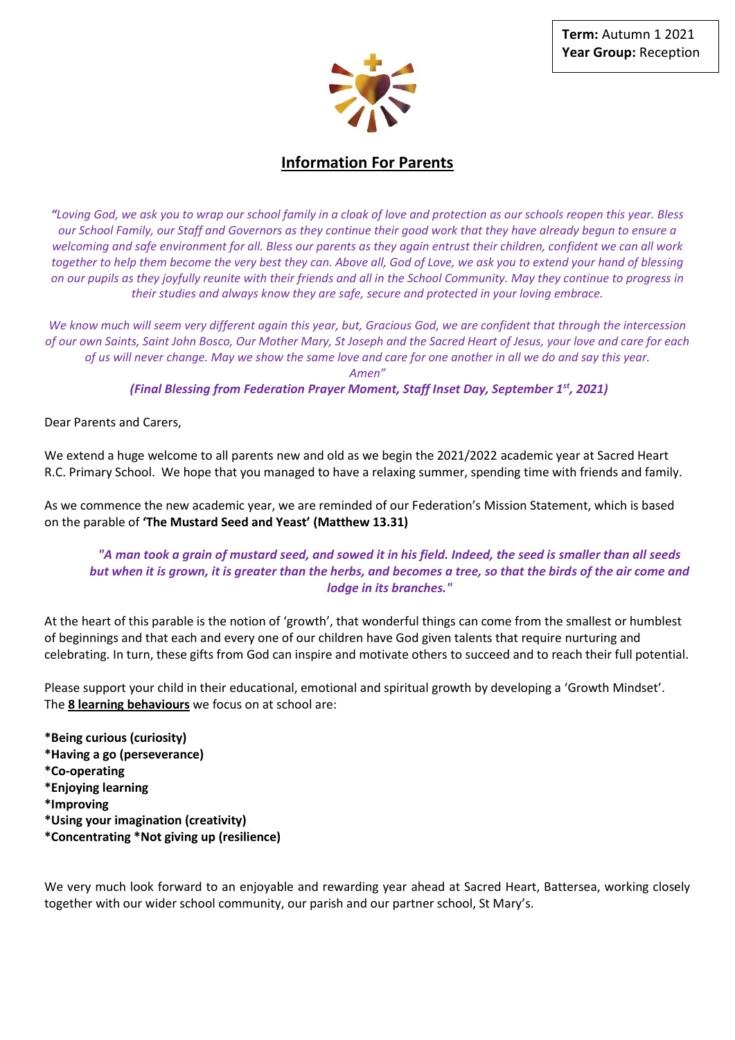

# **Information For Parents**

*"Loving God, we ask you to wrap our school family in a cloak of love and protection as our schools reopen this year. Bless our School Family, our Staff and Governors as they continue their good work that they have already begun to ensure a welcoming and safe environment for all. Bless our parents as they again entrust their children, confident we can all work together to help them become the very best they can. Above all, God of Love, we ask you to extend your hand of blessing on our pupils as they joyfully reunite with their friends and all in the School Community. May they continue to progress in their studies and always know they are safe, secure and protected in your loving embrace.*

*We know much will seem very different again this year, but, Gracious God, we are confident that through the intercession of our own Saints, Saint John Bosco, Our Mother Mary, St Joseph and the Sacred Heart of Jesus, your love and care for each of us will never change. May we show the same love and care for one another in all we do and say this year. Amen"*

*(Final Blessing from Federation Prayer Moment, Staff Inset Day, September 1st, 2021)*

Dear Parents and Carers,

We extend a huge welcome to all parents new and old as we begin the 2021/2022 academic year at Sacred Heart R.C. Primary School. We hope that you managed to have a relaxing summer, spending time with friends and family.

As we commence the new academic year, we are reminded of our Federation's Mission Statement, which is based on the parable of **'The Mustard Seed and Yeast' (Matthew 13.31)**

## *"A man took a grain of mustard seed, and sowed it in his field. Indeed, the seed is smaller than all seeds but when it is grown, it is greater than the herbs, and becomes a tree, so that the birds of the air come and lodge in its branches."*

At the heart of this parable is the notion of 'growth', that wonderful things can come from the smallest or humblest of beginnings and that each and every one of our children have God given talents that require nurturing and celebrating. In turn, these gifts from God can inspire and motivate others to succeed and to reach their full potential.

Please support your child in their educational, emotional and spiritual growth by developing a 'Growth Mindset'. The **8 learning behaviours** we focus on at school are:

**\*Being curious (curiosity) \*Having a go (perseverance) \*Co-operating \*Enjoying learning \*Improving \*Using your imagination (creativity) \*Concentrating \*Not giving up (resilience)**

We very much look forward to an enjoyable and rewarding year ahead at Sacred Heart, Battersea, working closely together with our wider school community, our parish and our partner school, St Mary's.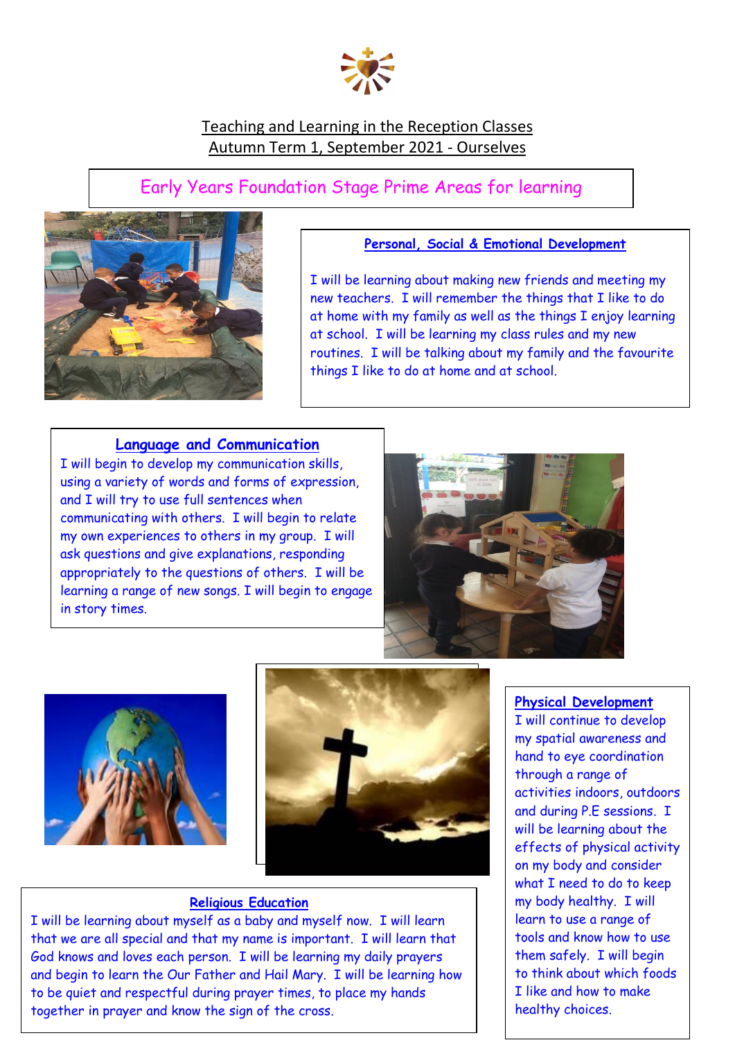

# Teaching and Learning in the Reception Classes Autumn Term 1, September 2021 - Ourselves

# Early Years Foundation Stage Prime Areas for learning



# **Personal, Social & Emotional Development**

I will be learning about making new friends and meeting my new teachers. I will remember the things that I like to do at home with my family as well as the things I enjoy learning at school. I will be learning my class rules and my new routines. I will be talking about my family and the favourite things I like to do at home and at school.

## **Language and Communication**

I will begin to develop my communication skills, using a variety of words and forms of expression, and I will try to use full sentences when communicating with others. I will begin to relate my own experiences to others in my group. I will ask questions and give explanations, responding appropriately to the questions of others. I will be learning a range of new songs. I will begin to engage in story times.







# **Religious Education**

I will be learning about myself as a baby and myself now. I will learn that we are all special and that my name is important. I will learn that God knows and loves each person. I will be learning my daily prayers and begin to learn the Our Father and Hail Mary. I will be learning how to be quiet and respectful during prayer times, to place my hands together in prayer and know the sign of the cross.

#### **Physical Development**

I will continue to develop my spatial awareness and hand to eye coordination through a range of activities indoors, outdoors and during P.E sessions. I will be learning about the effects of physical activity on my body and consider what I need to do to keep my body healthy. I will learn to use a range of tools and know how to use them safely. I will begin to think about which foods I like and how to make healthy choices.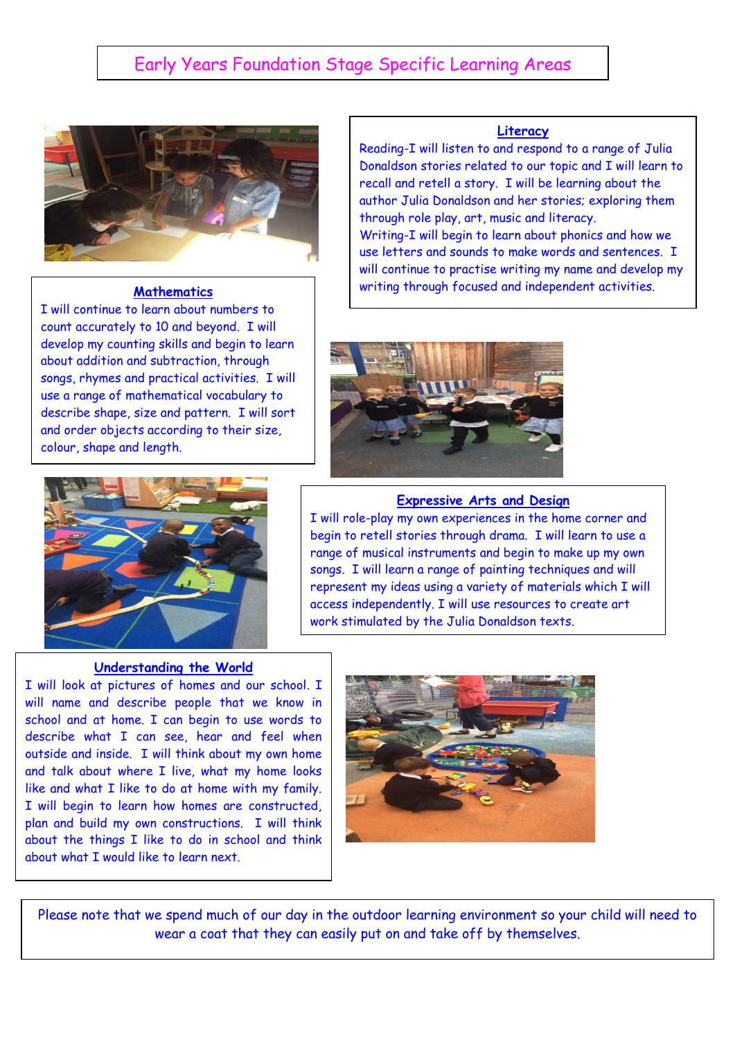# Early Years Foundation Stage Specific Learning Areas



 count accurately to 10 and beyond. I will I will continue to learn about numbers to develop my counting skills and begin to learn about addition and subtraction, through songs, rhymes and practical activities. I will use a range of mathematical vocabulary to describe shape, size and pattern. I will sort and order objects according to their size, colour, shape and length.

# **Literacy**

Reading-I will listen to and respond to a range of Julia Donaldson stories related to our topic and I will learn to recall and retell a story. I will be learning about the author Julia Donaldson and her stories; exploring them through role play, art, music and literacy. Writing-I will begin to learn about phonics and how we use letters and sounds to make words and sentences. I will continue to practise writing my name and develop my **Mathematics** writing through focused and independent activities.



#### **Expressive Arts and Design**

I will role-play my own experiences in the home corner and begin to retell stories through drama. I will learn to use a range of musical instruments and begin to make up my own songs. I will learn a range of painting techniques and will represent my ideas using a variety of materials which I will access independently. I will use resources to create art work stimulated by the Julia Donaldson texts.

#### **Understanding the World**

about the things I like to do in school and think I will look at pictures of homes and our school. I will name and describe people that we know in school and at home. I can begin to use words to describe what I can see, hear and feel when outside and inside. I will think about my own home and talk about where I live, what my home looks like and what I like to do at home with my family. I will begin to learn how homes are constructed, plan and build my own constructions. I will think about what I would like to learn next.



Please note that we spend much of our day in the outdoor learning environment so your child will need to wear a coat that they can easily put on and take off by themselves.

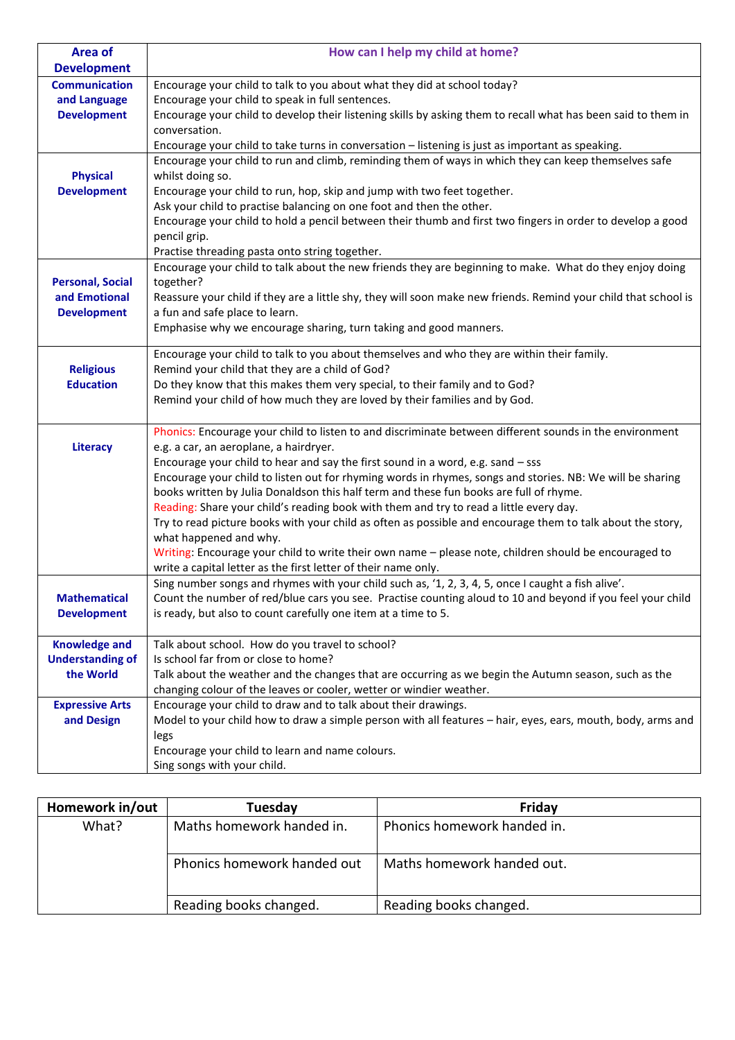| Area of                             | How can I help my child at home?                                                                                                                  |  |  |
|-------------------------------------|---------------------------------------------------------------------------------------------------------------------------------------------------|--|--|
| <b>Development</b>                  |                                                                                                                                                   |  |  |
| <b>Communication</b>                | Encourage your child to talk to you about what they did at school today?                                                                          |  |  |
| and Language                        | Encourage your child to speak in full sentences.                                                                                                  |  |  |
| <b>Development</b>                  | Encourage your child to develop their listening skills by asking them to recall what has been said to them in                                     |  |  |
|                                     | conversation.                                                                                                                                     |  |  |
|                                     | Encourage your child to take turns in conversation - listening is just as important as speaking.                                                  |  |  |
|                                     | Encourage your child to run and climb, reminding them of ways in which they can keep themselves safe                                              |  |  |
| <b>Physical</b>                     | whilst doing so.                                                                                                                                  |  |  |
| <b>Development</b>                  | Encourage your child to run, hop, skip and jump with two feet together.                                                                           |  |  |
|                                     | Ask your child to practise balancing on one foot and then the other.                                                                              |  |  |
|                                     | Encourage your child to hold a pencil between their thumb and first two fingers in order to develop a good                                        |  |  |
|                                     | pencil grip.                                                                                                                                      |  |  |
|                                     | Practise threading pasta onto string together.                                                                                                    |  |  |
|                                     | Encourage your child to talk about the new friends they are beginning to make. What do they enjoy doing                                           |  |  |
| <b>Personal, Social</b>             | together?                                                                                                                                         |  |  |
| and Emotional<br><b>Development</b> | Reassure your child if they are a little shy, they will soon make new friends. Remind your child that school is<br>a fun and safe place to learn. |  |  |
|                                     | Emphasise why we encourage sharing, turn taking and good manners.                                                                                 |  |  |
|                                     |                                                                                                                                                   |  |  |
|                                     | Encourage your child to talk to you about themselves and who they are within their family.                                                        |  |  |
| <b>Religious</b>                    | Remind your child that they are a child of God?                                                                                                   |  |  |
| <b>Education</b>                    | Do they know that this makes them very special, to their family and to God?                                                                       |  |  |
|                                     | Remind your child of how much they are loved by their families and by God.                                                                        |  |  |
|                                     |                                                                                                                                                   |  |  |
|                                     | Phonics: Encourage your child to listen to and discriminate between different sounds in the environment                                           |  |  |
| Literacy                            | e.g. a car, an aeroplane, a hairdryer.                                                                                                            |  |  |
|                                     | Encourage your child to hear and say the first sound in a word, e.g. sand - sss                                                                   |  |  |
|                                     | Encourage your child to listen out for rhyming words in rhymes, songs and stories. NB: We will be sharing                                         |  |  |
|                                     | books written by Julia Donaldson this half term and these fun books are full of rhyme.                                                            |  |  |
|                                     | Reading: Share your child's reading book with them and try to read a little every day.                                                            |  |  |
|                                     | Try to read picture books with your child as often as possible and encourage them to talk about the story,                                        |  |  |
|                                     | what happened and why.<br>Writing: Encourage your child to write their own name - please note, children should be encouraged to                   |  |  |
|                                     | write a capital letter as the first letter of their name only.                                                                                    |  |  |
|                                     | Sing number songs and rhymes with your child such as, '1, 2, 3, 4, 5, once I caught a fish alive'.                                                |  |  |
| <b>Mathematical</b>                 | Count the number of red/blue cars you see. Practise counting aloud to 10 and beyond if you feel your child                                        |  |  |
| <b>Development</b>                  | is ready, but also to count carefully one item at a time to 5.                                                                                    |  |  |
|                                     |                                                                                                                                                   |  |  |
| <b>Knowledge and</b>                | Talk about school. How do you travel to school?                                                                                                   |  |  |
| <b>Understanding of</b>             | Is school far from or close to home?                                                                                                              |  |  |
| the World                           | Talk about the weather and the changes that are occurring as we begin the Autumn season, such as the                                              |  |  |
|                                     | changing colour of the leaves or cooler, wetter or windier weather.                                                                               |  |  |
| <b>Expressive Arts</b>              | Encourage your child to draw and to talk about their drawings.                                                                                    |  |  |
| and Design                          | Model to your child how to draw a simple person with all features - hair, eyes, ears, mouth, body, arms and                                       |  |  |
|                                     | legs                                                                                                                                              |  |  |
|                                     | Encourage your child to learn and name colours.                                                                                                   |  |  |
|                                     | Sing songs with your child.                                                                                                                       |  |  |

| Homework in/out | Tuesday                     | Friday                      |
|-----------------|-----------------------------|-----------------------------|
| What?           | Maths homework handed in.   | Phonics homework handed in. |
|                 | Phonics homework handed out | Maths homework handed out.  |
|                 | Reading books changed.      | Reading books changed.      |